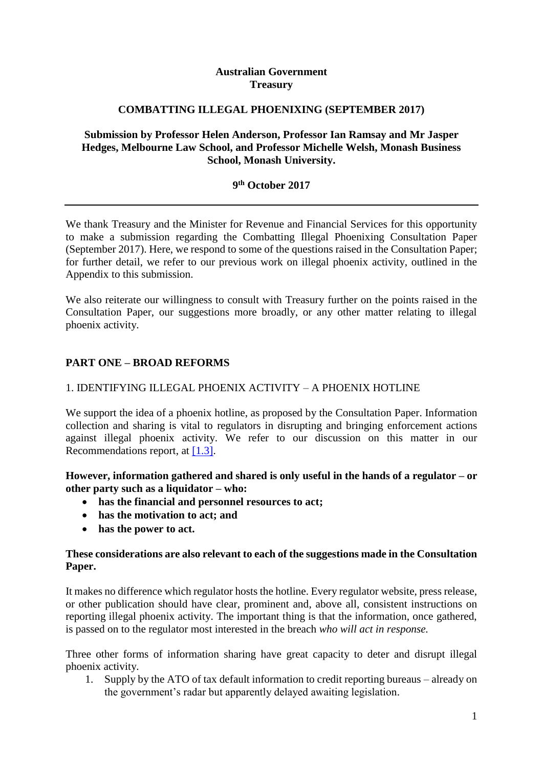## **Australian Government Treasury**

## **COMBATTING ILLEGAL PHOENIXING (SEPTEMBER 2017)**

## **Submission by Professor Helen Anderson, Professor Ian Ramsay and Mr Jasper Hedges, Melbourne Law School, and Professor Michelle Welsh, Monash Business School, Monash University.**

## **9 th October 2017**

We thank Treasury and the Minister for Revenue and Financial Services for this opportunity to make a submission regarding the Combatting Illegal Phoenixing Consultation Paper (September 2017). Here, we respond to some of the questions raised in the Consultation Paper; for further detail, we refer to our previous work on illegal phoenix activity, outlined in the Appendix to this submission.

We also reiterate our willingness to consult with Treasury further on the points raised in the Consultation Paper, our suggestions more broadly, or any other matter relating to illegal phoenix activity.

# **PART ONE – BROAD REFORMS**

## 1. IDENTIFYING ILLEGAL PHOENIX ACTIVITY – A PHOENIX HOTLINE

We support the idea of a phoenix hotline, as proposed by the Consultation Paper. Information collection and sharing is vital to regulators in disrupting and bringing enforcement actions against illegal phoenix activity. We refer to our discussion on this matter in our Recommendations report, at [\[1.3\].](http://law.unimelb.edu.au/__data/assets/pdf_file/0020/2274131/Phoenix-Activity-Recommendations-on-Detection-Disruption-and-Enforcement.pdf#page=41)

## **However, information gathered and shared is only useful in the hands of a regulator – or other party such as a liquidator – who:**

- **has the financial and personnel resources to act;**
- **has the motivation to act; and**
- **has the power to act.**

## **These considerations are also relevant to each of the suggestions made in the Consultation Paper.**

It makes no difference which regulator hosts the hotline. Every regulator website, press release, or other publication should have clear, prominent and, above all, consistent instructions on reporting illegal phoenix activity. The important thing is that the information, once gathered, is passed on to the regulator most interested in the breach *who will act in response.*

Three other forms of information sharing have great capacity to deter and disrupt illegal phoenix activity.

1. Supply by the ATO of tax default information to credit reporting bureaus – already on the government's radar but apparently delayed awaiting legislation.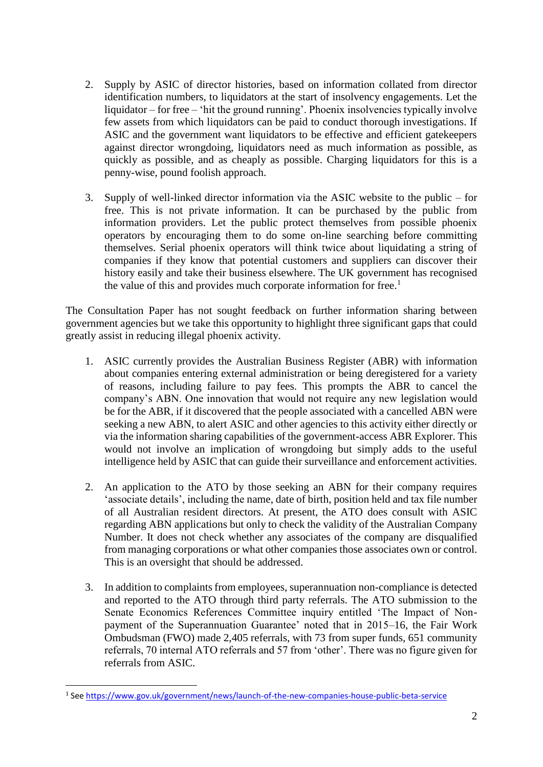- 2. Supply by ASIC of director histories, based on information collated from director identification numbers, to liquidators at the start of insolvency engagements. Let the liquidator – for free – 'hit the ground running'. Phoenix insolvencies typically involve few assets from which liquidators can be paid to conduct thorough investigations. If ASIC and the government want liquidators to be effective and efficient gatekeepers against director wrongdoing, liquidators need as much information as possible, as quickly as possible, and as cheaply as possible. Charging liquidators for this is a penny-wise, pound foolish approach.
- 3. Supply of well-linked director information via the ASIC website to the public for free. This is not private information. It can be purchased by the public from information providers. Let the public protect themselves from possible phoenix operators by encouraging them to do some on-line searching before committing themselves. Serial phoenix operators will think twice about liquidating a string of companies if they know that potential customers and suppliers can discover their history easily and take their business elsewhere. The UK government has recognised the value of this and provides much corporate information for free.<sup>1</sup>

The Consultation Paper has not sought feedback on further information sharing between government agencies but we take this opportunity to highlight three significant gaps that could greatly assist in reducing illegal phoenix activity.

- 1. ASIC currently provides the Australian Business Register (ABR) with information about companies entering external administration or being deregistered for a variety of reasons, including failure to pay fees. This prompts the ABR to cancel the company's ABN. One innovation that would not require any new legislation would be for the ABR, if it discovered that the people associated with a cancelled ABN were seeking a new ABN, to alert ASIC and other agencies to this activity either directly or via the information sharing capabilities of the government-access ABR Explorer. This would not involve an implication of wrongdoing but simply adds to the useful intelligence held by ASIC that can guide their surveillance and enforcement activities.
- 2. An application to the ATO by those seeking an ABN for their company requires 'associate details', including the name, date of birth, position held and tax file number of all Australian resident directors. At present, the ATO does consult with ASIC regarding ABN applications but only to check the validity of the Australian Company Number. It does not check whether any associates of the company are disqualified from managing corporations or what other companies those associates own or control. This is an oversight that should be addressed.
- 3. In addition to complaints from employees, superannuation non-compliance is detected and reported to the ATO through third party referrals. The ATO submission to the Senate Economics References Committee inquiry entitled 'The Impact of Nonpayment of the Superannuation Guarantee' noted that in 2015–16, the Fair Work Ombudsman (FWO) made 2,405 referrals, with 73 from super funds, 651 community referrals, 70 internal ATO referrals and 57 from 'other'. There was no figure given for referrals from ASIC.

**.** 

<sup>&</sup>lt;sup>1</sup> See<https://www.gov.uk/government/news/launch-of-the-new-companies-house-public-beta-service>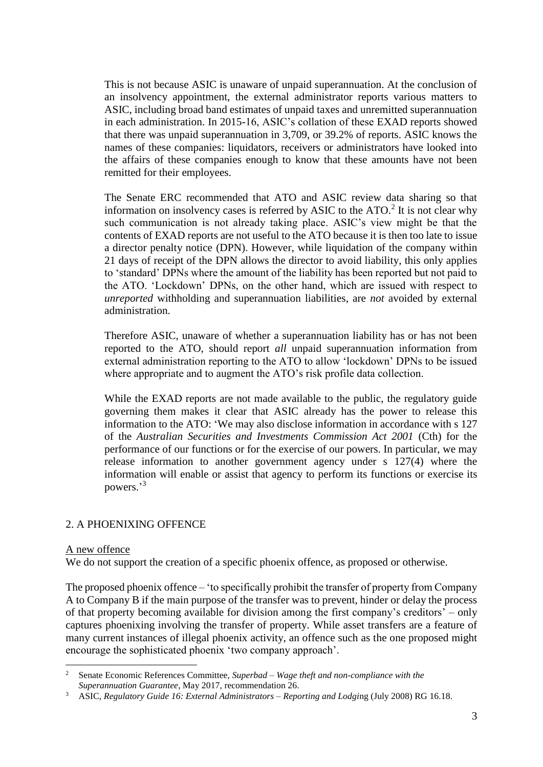This is not because ASIC is unaware of unpaid superannuation. At the conclusion of an insolvency appointment, the external administrator reports various matters to ASIC, including broad band estimates of unpaid taxes and unremitted superannuation in each administration. In 2015-16, ASIC's collation of these EXAD reports showed that there was unpaid superannuation in 3,709, or 39.2% of reports. ASIC knows the names of these companies: liquidators, receivers or administrators have looked into the affairs of these companies enough to know that these amounts have not been remitted for their employees.

The Senate ERC recommended that ATO and ASIC review data sharing so that information on insolvency cases is referred by ASIC to the  $ATO$ <sup>2</sup> It is not clear why such communication is not already taking place. ASIC's view might be that the contents of EXAD reports are not useful to the ATO because it is then too late to issue a director penalty notice (DPN). However, while liquidation of the company within 21 days of receipt of the DPN allows the director to avoid liability, this only applies to 'standard' DPNs where the amount of the liability has been reported but not paid to the ATO. 'Lockdown' DPNs, on the other hand, which are issued with respect to *unreported* withholding and superannuation liabilities, are *not* avoided by external administration.

Therefore ASIC, unaware of whether a superannuation liability has or has not been reported to the ATO, should report *all* unpaid superannuation information from external administration reporting to the ATO to allow 'lockdown' DPNs to be issued where appropriate and to augment the ATO's risk profile data collection.

While the EXAD reports are not made available to the public, the regulatory guide governing them makes it clear that ASIC already has the power to release this information to the ATO: 'We may also disclose information in accordance with s 127 of the *Australian Securities and Investments Commission Act 2001* (Cth) for the performance of our functions or for the exercise of our powers. In particular, we may release information to another government agency under s 127(4) where the information will enable or assist that agency to perform its functions or exercise its powers.' 3

# 2. A PHOENIXING OFFENCE

#### A new offence

1

We do not support the creation of a specific phoenix offence, as proposed or otherwise.

The proposed phoenix offence – 'to specifically prohibit the transfer of property from Company A to Company B if the main purpose of the transfer was to prevent, hinder or delay the process of that property becoming available for division among the first company's creditors' – only captures phoenixing involving the transfer of property. While asset transfers are a feature of many current instances of illegal phoenix activity, an offence such as the one proposed might encourage the sophisticated phoenix 'two company approach'.

<sup>2</sup> Senate Economic References Committee, *Superbad – Wage theft and non-compliance with the Superannuation Guarantee*, May 2017, recommendation 26.

<sup>3</sup> ASIC, *Regulatory Guide 16: External Administrators – Reporting and Lodgi*ng (July 2008) RG 16.18.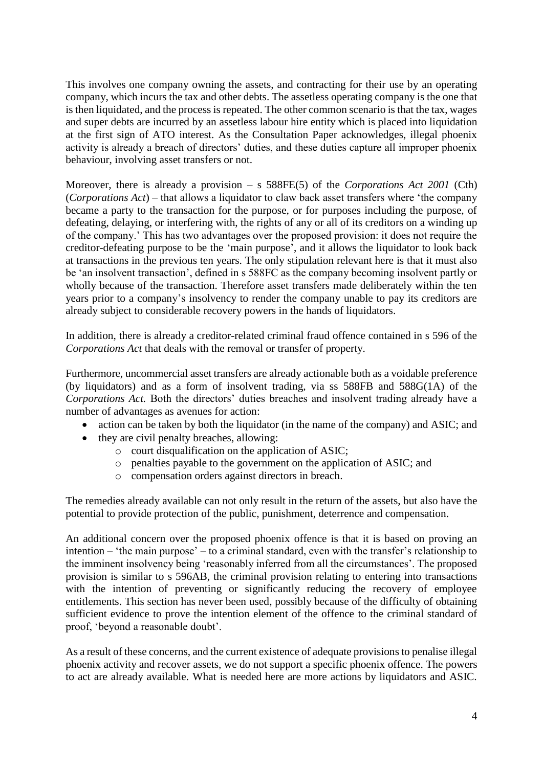This involves one company owning the assets, and contracting for their use by an operating company, which incurs the tax and other debts. The assetless operating company is the one that is then liquidated, and the process is repeated. The other common scenario is that the tax, wages and super debts are incurred by an assetless labour hire entity which is placed into liquidation at the first sign of ATO interest. As the Consultation Paper acknowledges, illegal phoenix activity is already a breach of directors' duties, and these duties capture all improper phoenix behaviour, involving asset transfers or not.

Moreover, there is already a provision – s 588FE(5) of the *Corporations Act 2001* (Cth) (*Corporations Act*) – that allows a liquidator to claw back asset transfers where 'the company became a party to the transaction for the purpose, or for purposes including the purpose, of defeating, delaying, or interfering with, the rights of any or all of its creditors on a winding up of the company.' This has two advantages over the proposed provision: it does not require the creditor-defeating purpose to be the 'main purpose', and it allows the liquidator to look back at transactions in the previous ten years. The only stipulation relevant here is that it must also be 'an insolvent transaction', defined in s 588FC as the company becoming insolvent partly or wholly because of the transaction. Therefore asset transfers made deliberately within the ten years prior to a company's insolvency to render the company unable to pay its creditors are already subject to considerable recovery powers in the hands of liquidators.

In addition, there is already a creditor-related criminal fraud offence contained in s 596 of the *Corporations Act* that deals with the removal or transfer of property.

Furthermore, uncommercial asset transfers are already actionable both as a voidable preference (by liquidators) and as a form of insolvent trading, via ss 588FB and 588G(1A) of the *Corporations Act.* Both the directors' duties breaches and insolvent trading already have a number of advantages as avenues for action:

- action can be taken by both the liquidator (in the name of the company) and ASIC; and
- they are civil penalty breaches, allowing:
	- o court disqualification on the application of ASIC;
	- o penalties payable to the government on the application of ASIC; and
	- o compensation orders against directors in breach.

The remedies already available can not only result in the return of the assets, but also have the potential to provide protection of the public, punishment, deterrence and compensation.

An additional concern over the proposed phoenix offence is that it is based on proving an intention – 'the main purpose' – to a criminal standard, even with the transfer's relationship to the imminent insolvency being 'reasonably inferred from all the circumstances'. The proposed provision is similar to s 596AB, the criminal provision relating to entering into transactions with the intention of preventing or significantly reducing the recovery of employee entitlements. This section has never been used, possibly because of the difficulty of obtaining sufficient evidence to prove the intention element of the offence to the criminal standard of proof, 'beyond a reasonable doubt'.

As a result of these concerns, and the current existence of adequate provisions to penalise illegal phoenix activity and recover assets, we do not support a specific phoenix offence. The powers to act are already available. What is needed here are more actions by liquidators and ASIC.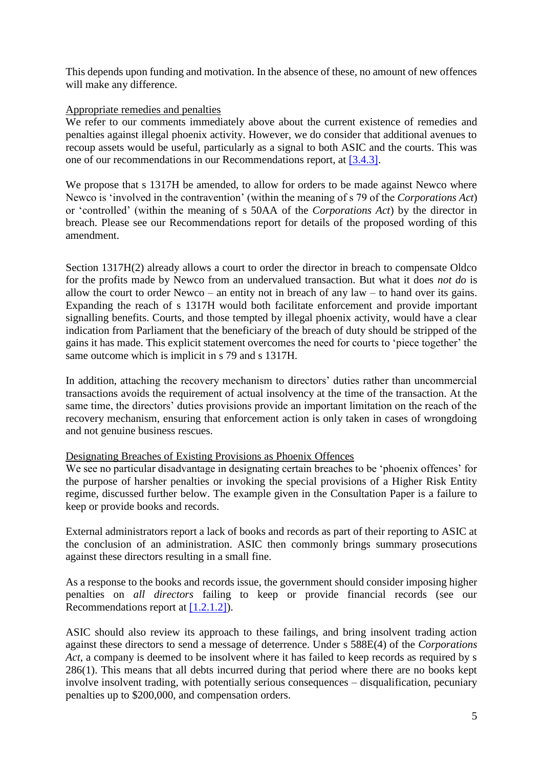This depends upon funding and motivation. In the absence of these, no amount of new offences will make any difference.

### Appropriate remedies and penalties

We refer to our comments immediately above about the current existence of remedies and penalties against illegal phoenix activity. However, we do consider that additional avenues to recoup assets would be useful, particularly as a signal to both ASIC and the courts. This was one of our recommendations in our Recommendations report, at [\[3.4.3\].](http://law.unimelb.edu.au/__data/assets/pdf_file/0020/2274131/Phoenix-Activity-Recommendations-on-Detection-Disruption-and-Enforcement.pdf#page=124)

We propose that s 1317H be amended, to allow for orders to be made against Newco where Newco is 'involved in the contravention' (within the meaning of s 79 of the *Corporations Act*) or 'controlled' (within the meaning of s 50AA of the *Corporations Act*) by the director in breach. Please see our Recommendations report for details of the proposed wording of this amendment.

Section 1317H(2) already allows a court to order the director in breach to compensate Oldco for the profits made by Newco from an undervalued transaction. But what it does *not do* is allow the court to order Newco – an entity not in breach of any law – to hand over its gains. Expanding the reach of s 1317H would both facilitate enforcement and provide important signalling benefits. Courts, and those tempted by illegal phoenix activity, would have a clear indication from Parliament that the beneficiary of the breach of duty should be stripped of the gains it has made. This explicit statement overcomes the need for courts to 'piece together' the same outcome which is implicit in s 79 and s 1317H.

In addition, attaching the recovery mechanism to directors' duties rather than uncommercial transactions avoids the requirement of actual insolvency at the time of the transaction. At the same time, the directors' duties provisions provide an important limitation on the reach of the recovery mechanism, ensuring that enforcement action is only taken in cases of wrongdoing and not genuine business rescues.

#### Designating Breaches of Existing Provisions as Phoenix Offences

We see no particular disadvantage in designating certain breaches to be 'phoenix offences' for the purpose of harsher penalties or invoking the special provisions of a Higher Risk Entity regime, discussed further below. The example given in the Consultation Paper is a failure to keep or provide books and records.

External administrators report a lack of books and records as part of their reporting to ASIC at the conclusion of an administration. ASIC then commonly brings summary prosecutions against these directors resulting in a small fine.

As a response to the books and records issue, the government should consider imposing higher penalties on *all directors* failing to keep or provide financial records (see our Recommendations report at [\[1.2.1.2\]\)](http://law.unimelb.edu.au/__data/assets/pdf_file/0020/2274131/Phoenix-Activity-Recommendations-on-Detection-Disruption-and-Enforcement.pdf#page=37).

ASIC should also review its approach to these failings, and bring insolvent trading action against these directors to send a message of deterrence. Under s 588E(4) of the *Corporations Act*, a company is deemed to be insolvent where it has failed to keep records as required by s 286(1). This means that all debts incurred during that period where there are no books kept involve insolvent trading, with potentially serious consequences – disqualification, pecuniary penalties up to \$200,000, and compensation orders.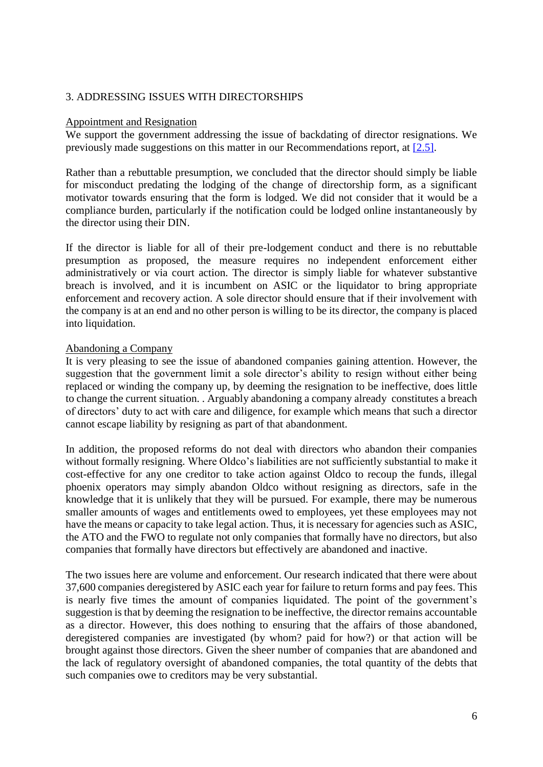## 3. ADDRESSING ISSUES WITH DIRECTORSHIPS

#### Appointment and Resignation

We support the government addressing the issue of backdating of director resignations. We previously made suggestions on this matter in our Recommendations report, at [\[2.5\].](http://law.unimelb.edu.au/__data/assets/pdf_file/0020/2274131/Phoenix-Activity-Recommendations-on-Detection-Disruption-and-Enforcement.pdf#page=96)

Rather than a rebuttable presumption, we concluded that the director should simply be liable for misconduct predating the lodging of the change of directorship form, as a significant motivator towards ensuring that the form is lodged. We did not consider that it would be a compliance burden, particularly if the notification could be lodged online instantaneously by the director using their DIN.

If the director is liable for all of their pre-lodgement conduct and there is no rebuttable presumption as proposed, the measure requires no independent enforcement either administratively or via court action. The director is simply liable for whatever substantive breach is involved, and it is incumbent on ASIC or the liquidator to bring appropriate enforcement and recovery action. A sole director should ensure that if their involvement with the company is at an end and no other person is willing to be its director, the company is placed into liquidation.

#### Abandoning a Company

It is very pleasing to see the issue of abandoned companies gaining attention. However, the suggestion that the government limit a sole director's ability to resign without either being replaced or winding the company up, by deeming the resignation to be ineffective, does little to change the current situation. . Arguably abandoning a company already constitutes a breach of directors' duty to act with care and diligence, for example which means that such a director cannot escape liability by resigning as part of that abandonment.

In addition, the proposed reforms do not deal with directors who abandon their companies without formally resigning. Where Oldco's liabilities are not sufficiently substantial to make it cost-effective for any one creditor to take action against Oldco to recoup the funds, illegal phoenix operators may simply abandon Oldco without resigning as directors, safe in the knowledge that it is unlikely that they will be pursued. For example, there may be numerous smaller amounts of wages and entitlements owed to employees, yet these employees may not have the means or capacity to take legal action. Thus, it is necessary for agencies such as ASIC, the ATO and the FWO to regulate not only companies that formally have no directors, but also companies that formally have directors but effectively are abandoned and inactive.

The two issues here are volume and enforcement. Our research indicated that there were about 37,600 companies deregistered by ASIC each year for failure to return forms and pay fees. This is nearly five times the amount of companies liquidated. The point of the government's suggestion is that by deeming the resignation to be ineffective, the director remains accountable as a director. However, this does nothing to ensuring that the affairs of those abandoned, deregistered companies are investigated (by whom? paid for how?) or that action will be brought against those directors. Given the sheer number of companies that are abandoned and the lack of regulatory oversight of abandoned companies, the total quantity of the debts that such companies owe to creditors may be very substantial.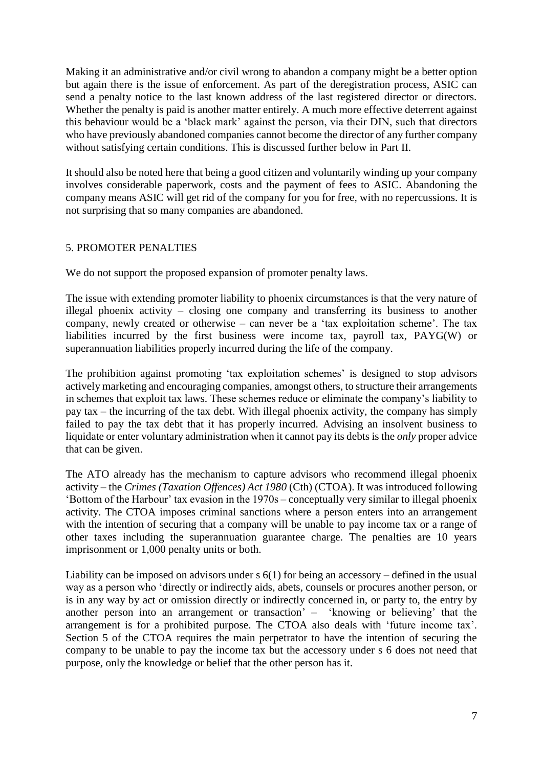Making it an administrative and/or civil wrong to abandon a company might be a better option but again there is the issue of enforcement. As part of the deregistration process, ASIC can send a penalty notice to the last known address of the last registered director or directors. Whether the penalty is paid is another matter entirely. A much more effective deterrent against this behaviour would be a 'black mark' against the person, via their DIN, such that directors who have previously abandoned companies cannot become the director of any further company without satisfying certain conditions. This is discussed further below in Part II.

It should also be noted here that being a good citizen and voluntarily winding up your company involves considerable paperwork, costs and the payment of fees to ASIC. Abandoning the company means ASIC will get rid of the company for you for free, with no repercussions. It is not surprising that so many companies are abandoned.

# 5. PROMOTER PENALTIES

We do not support the proposed expansion of promoter penalty laws.

The issue with extending promoter liability to phoenix circumstances is that the very nature of illegal phoenix activity – closing one company and transferring its business to another company, newly created or otherwise – can never be a 'tax exploitation scheme'. The tax liabilities incurred by the first business were income tax, payroll tax, PAYG(W) or superannuation liabilities properly incurred during the life of the company.

The prohibition against promoting 'tax exploitation schemes' is designed to stop advisors actively marketing and encouraging companies, amongst others, to structure their arrangements in schemes that exploit tax laws. These schemes reduce or eliminate the company's liability to pay tax – the incurring of the tax debt. With illegal phoenix activity, the company has simply failed to pay the tax debt that it has properly incurred. Advising an insolvent business to liquidate or enter voluntary administration when it cannot pay its debts is the *only* proper advice that can be given.

The ATO already has the mechanism to capture advisors who recommend illegal phoenix activity – the *Crimes (Taxation Offences) Act 1980* (Cth) (CTOA). It was introduced following 'Bottom of the Harbour' tax evasion in the 1970s – conceptually very similar to illegal phoenix activity. The CTOA imposes criminal sanctions where a person enters into an arrangement with the intention of securing that a company will be unable to pay income tax or a range of other taxes including the superannuation guarantee charge. The penalties are 10 years imprisonment or 1,000 penalty units or both.

Liability can be imposed on advisors under s 6(1) for being an accessory – defined in the usual way as a person who 'directly or indirectly aids, abets, counsels or procures another person, or is in any way by act or omission directly or indirectly concerned in, or party to, the entry by another person into an arrangement or transaction' – 'knowing or believing' that the arrangement is for a prohibited purpose. The CTOA also deals with 'future income tax'. Section 5 of the CTOA requires the main perpetrator to have the intention of securing the company to be unable to pay the income tax but the accessory under s 6 does not need that purpose, only the knowledge or belief that the other person has it.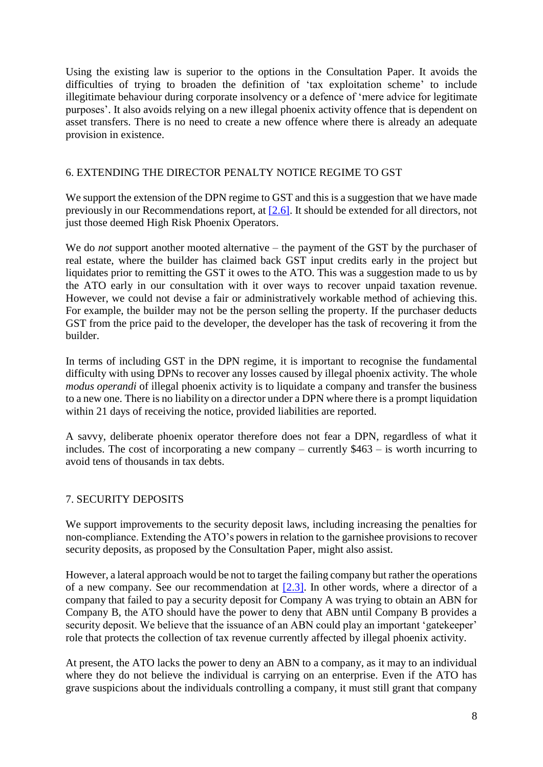Using the existing law is superior to the options in the Consultation Paper. It avoids the difficulties of trying to broaden the definition of 'tax exploitation scheme' to include illegitimate behaviour during corporate insolvency or a defence of 'mere advice for legitimate purposes'. It also avoids relying on a new illegal phoenix activity offence that is dependent on asset transfers. There is no need to create a new offence where there is already an adequate provision in existence.

## 6. EXTENDING THE DIRECTOR PENALTY NOTICE REGIME TO GST

We support the extension of the DPN regime to GST and this is a suggestion that we have made previously in our Recommendations report, at [\[2.6\].](http://law.unimelb.edu.au/__data/assets/pdf_file/0020/2274131/Phoenix-Activity-Recommendations-on-Detection-Disruption-and-Enforcement.pdf#page=97) It should be extended for all directors, not just those deemed High Risk Phoenix Operators.

We do *not* support another mooted alternative – the payment of the GST by the purchaser of real estate, where the builder has claimed back GST input credits early in the project but liquidates prior to remitting the GST it owes to the ATO. This was a suggestion made to us by the ATO early in our consultation with it over ways to recover unpaid taxation revenue. However, we could not devise a fair or administratively workable method of achieving this. For example, the builder may not be the person selling the property. If the purchaser deducts GST from the price paid to the developer, the developer has the task of recovering it from the builder.

In terms of including GST in the DPN regime, it is important to recognise the fundamental difficulty with using DPNs to recover any losses caused by illegal phoenix activity. The whole *modus operandi* of illegal phoenix activity is to liquidate a company and transfer the business to a new one. There is no liability on a director under a DPN where there is a prompt liquidation within 21 days of receiving the notice, provided liabilities are reported.

A savvy, deliberate phoenix operator therefore does not fear a DPN, regardless of what it includes. The cost of incorporating a new company – currently \$463 – is worth incurring to avoid tens of thousands in tax debts.

# 7. SECURITY DEPOSITS

We support improvements to the security deposit laws, including increasing the penalties for non-compliance. Extending the ATO's powers in relation to the garnishee provisions to recover security deposits, as proposed by the Consultation Paper, might also assist.

However, a lateral approach would be not to target the failing company but rather the operations of a new company. See our recommendation at [\[2.3\].](http://law.unimelb.edu.au/__data/assets/pdf_file/0020/2274131/Phoenix-Activity-Recommendations-on-Detection-Disruption-and-Enforcement.pdf#page=91) In other words, where a director of a company that failed to pay a security deposit for Company A was trying to obtain an ABN for Company B, the ATO should have the power to deny that ABN until Company B provides a security deposit. We believe that the issuance of an ABN could play an important 'gatekeeper' role that protects the collection of tax revenue currently affected by illegal phoenix activity.

At present, the ATO lacks the power to deny an ABN to a company, as it may to an individual where they do not believe the individual is carrying on an enterprise. Even if the ATO has grave suspicions about the individuals controlling a company, it must still grant that company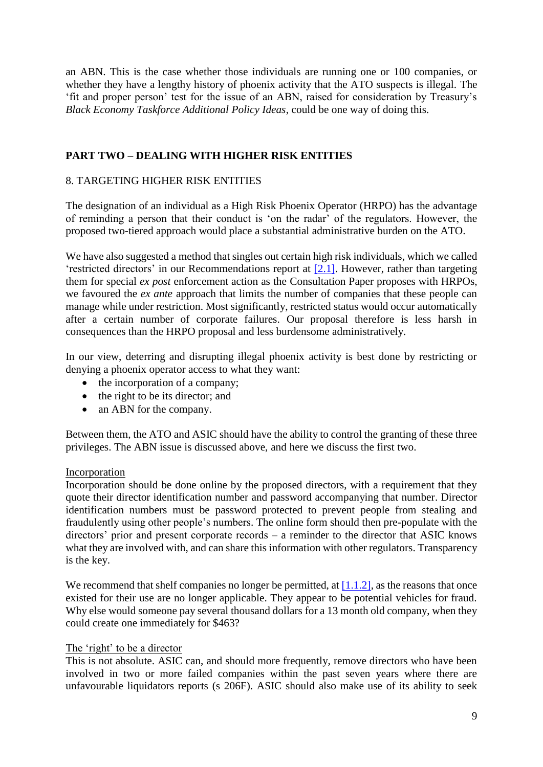an ABN. This is the case whether those individuals are running one or 100 companies, or whether they have a lengthy history of phoenix activity that the ATO suspects is illegal. The 'fit and proper person' test for the issue of an ABN, raised for consideration by Treasury's *Black Economy Taskforce Additional Policy Ideas*, could be one way of doing this.

# **PART TWO – DEALING WITH HIGHER RISK ENTITIES**

### 8. TARGETING HIGHER RISK ENTITIES

The designation of an individual as a High Risk Phoenix Operator (HRPO) has the advantage of reminding a person that their conduct is 'on the radar' of the regulators. However, the proposed two-tiered approach would place a substantial administrative burden on the ATO.

We have also suggested a method that singles out certain high risk individuals, which we called 'restricted directors' in our Recommendations report at [\[2.1\].](http://law.unimelb.edu.au/__data/assets/pdf_file/0020/2274131/Phoenix-Activity-Recommendations-on-Detection-Disruption-and-Enforcement.pdf#page=74) However, rather than targeting them for special *ex post* enforcement action as the Consultation Paper proposes with HRPOs, we favoured the *ex ante* approach that limits the number of companies that these people can manage while under restriction. Most significantly, restricted status would occur automatically after a certain number of corporate failures. Our proposal therefore is less harsh in consequences than the HRPO proposal and less burdensome administratively.

In our view, deterring and disrupting illegal phoenix activity is best done by restricting or denying a phoenix operator access to what they want:

- the incorporation of a company;
- the right to be its director; and
- an ABN for the company.

Between them, the ATO and ASIC should have the ability to control the granting of these three privileges. The ABN issue is discussed above, and here we discuss the first two.

#### Incorporation

Incorporation should be done online by the proposed directors, with a requirement that they quote their director identification number and password accompanying that number. Director identification numbers must be password protected to prevent people from stealing and fraudulently using other people's numbers. The online form should then pre-populate with the directors' prior and present corporate records – a reminder to the director that ASIC knows what they are involved with, and can share this information with other regulators. Transparency is the key.

We recommend that shelf companies no longer be permitted, at  $[1.1.2]$ , as the reasons that once existed for their use are no longer applicable. They appear to be potential vehicles for fraud. Why else would someone pay several thousand dollars for a 13 month old company, when they could create one immediately for \$463?

## The 'right' to be a director

This is not absolute. ASIC can, and should more frequently, remove directors who have been involved in two or more failed companies within the past seven years where there are unfavourable liquidators reports (s 206F). ASIC should also make use of its ability to seek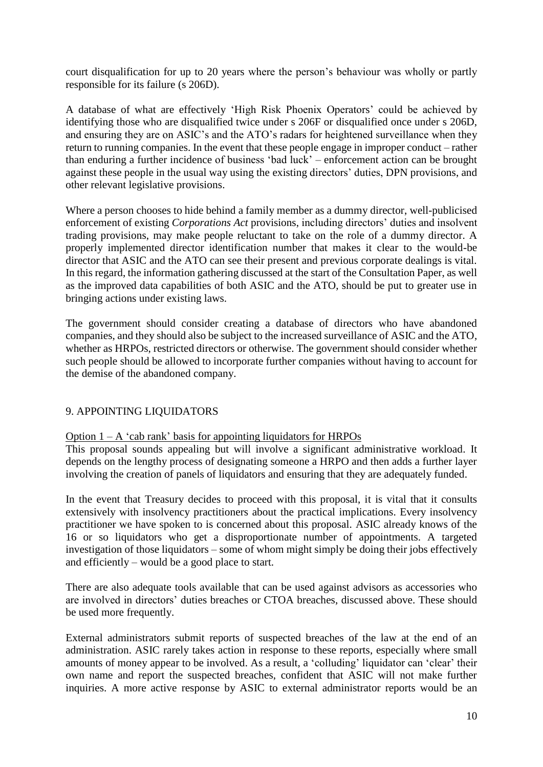court disqualification for up to 20 years where the person's behaviour was wholly or partly responsible for its failure (s 206D).

A database of what are effectively 'High Risk Phoenix Operators' could be achieved by identifying those who are disqualified twice under s 206F or disqualified once under s 206D, and ensuring they are on ASIC's and the ATO's radars for heightened surveillance when they return to running companies. In the event that these people engage in improper conduct – rather than enduring a further incidence of business 'bad luck' – enforcement action can be brought against these people in the usual way using the existing directors' duties, DPN provisions, and other relevant legislative provisions.

Where a person chooses to hide behind a family member as a dummy director, well-publicised enforcement of existing *Corporations Act* provisions, including directors' duties and insolvent trading provisions, may make people reluctant to take on the role of a dummy director. A properly implemented director identification number that makes it clear to the would-be director that ASIC and the ATO can see their present and previous corporate dealings is vital. In this regard, the information gathering discussed at the start of the Consultation Paper, as well as the improved data capabilities of both ASIC and the ATO, should be put to greater use in bringing actions under existing laws.

The government should consider creating a database of directors who have abandoned companies, and they should also be subject to the increased surveillance of ASIC and the ATO, whether as HRPOs, restricted directors or otherwise. The government should consider whether such people should be allowed to incorporate further companies without having to account for the demise of the abandoned company.

# 9. APPOINTING LIQUIDATORS

Option  $1 - A$  'cab rank' basis for appointing liquidators for HRPOs

This proposal sounds appealing but will involve a significant administrative workload. It depends on the lengthy process of designating someone a HRPO and then adds a further layer involving the creation of panels of liquidators and ensuring that they are adequately funded.

In the event that Treasury decides to proceed with this proposal, it is vital that it consults extensively with insolvency practitioners about the practical implications. Every insolvency practitioner we have spoken to is concerned about this proposal. ASIC already knows of the 16 or so liquidators who get a disproportionate number of appointments. A targeted investigation of those liquidators – some of whom might simply be doing their jobs effectively and efficiently – would be a good place to start.

There are also adequate tools available that can be used against advisors as accessories who are involved in directors' duties breaches or CTOA breaches, discussed above. These should be used more frequently.

External administrators submit reports of suspected breaches of the law at the end of an administration. ASIC rarely takes action in response to these reports, especially where small amounts of money appear to be involved. As a result, a 'colluding' liquidator can 'clear' their own name and report the suspected breaches, confident that ASIC will not make further inquiries. A more active response by ASIC to external administrator reports would be an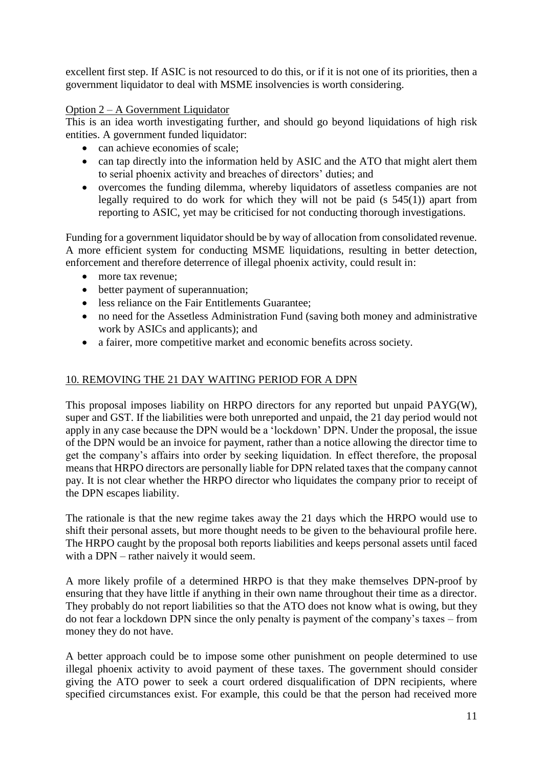excellent first step. If ASIC is not resourced to do this, or if it is not one of its priorities, then a government liquidator to deal with MSME insolvencies is worth considering.

# Option 2 – A Government Liquidator

This is an idea worth investigating further, and should go beyond liquidations of high risk entities. A government funded liquidator:

- can achieve economies of scale:
- can tap directly into the information held by ASIC and the ATO that might alert them to serial phoenix activity and breaches of directors' duties; and
- overcomes the funding dilemma, whereby liquidators of assetless companies are not legally required to do work for which they will not be paid (s  $545(1)$ ) apart from reporting to ASIC, yet may be criticised for not conducting thorough investigations.

Funding for a government liquidator should be by way of allocation from consolidated revenue. A more efficient system for conducting MSME liquidations, resulting in better detection, enforcement and therefore deterrence of illegal phoenix activity, could result in:

- more tax revenue:
- better payment of superannuation;
- less reliance on the Fair Entitlements Guarantee;
- no need for the Assetless Administration Fund (saving both money and administrative work by ASICs and applicants); and
- a fairer, more competitive market and economic benefits across society.

# 10. REMOVING THE 21 DAY WAITING PERIOD FOR A DPN

This proposal imposes liability on HRPO directors for any reported but unpaid PAYG(W), super and GST. If the liabilities were both unreported and unpaid, the 21 day period would not apply in any case because the DPN would be a 'lockdown' DPN. Under the proposal, the issue of the DPN would be an invoice for payment, rather than a notice allowing the director time to get the company's affairs into order by seeking liquidation. In effect therefore, the proposal means that HRPO directors are personally liable for DPN related taxes that the company cannot pay. It is not clear whether the HRPO director who liquidates the company prior to receipt of the DPN escapes liability.

The rationale is that the new regime takes away the 21 days which the HRPO would use to shift their personal assets, but more thought needs to be given to the behavioural profile here. The HRPO caught by the proposal both reports liabilities and keeps personal assets until faced with a DPN – rather naively it would seem.

A more likely profile of a determined HRPO is that they make themselves DPN-proof by ensuring that they have little if anything in their own name throughout their time as a director. They probably do not report liabilities so that the ATO does not know what is owing, but they do not fear a lockdown DPN since the only penalty is payment of the company's taxes – from money they do not have.

A better approach could be to impose some other punishment on people determined to use illegal phoenix activity to avoid payment of these taxes. The government should consider giving the ATO power to seek a court ordered disqualification of DPN recipients, where specified circumstances exist. For example, this could be that the person had received more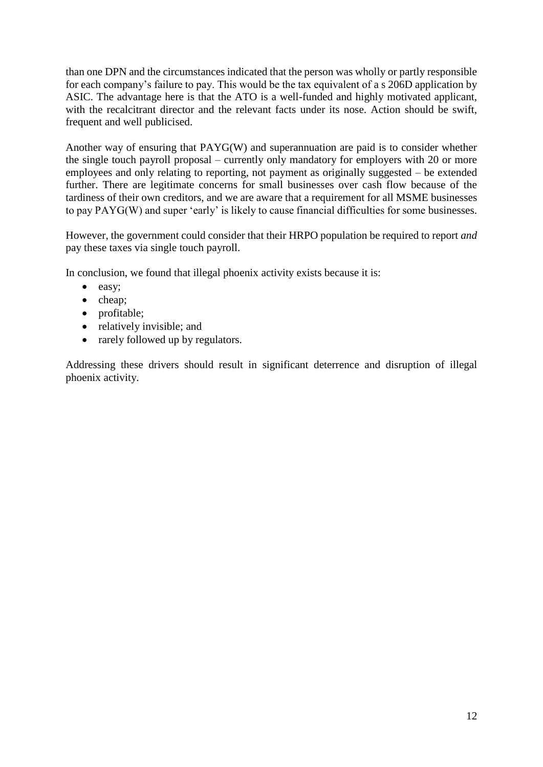than one DPN and the circumstances indicated that the person was wholly or partly responsible for each company's failure to pay. This would be the tax equivalent of a s 206D application by ASIC. The advantage here is that the ATO is a well-funded and highly motivated applicant, with the recalcitrant director and the relevant facts under its nose. Action should be swift, frequent and well publicised.

Another way of ensuring that PAYG(W) and superannuation are paid is to consider whether the single touch payroll proposal – currently only mandatory for employers with 20 or more employees and only relating to reporting, not payment as originally suggested – be extended further. There are legitimate concerns for small businesses over cash flow because of the tardiness of their own creditors, and we are aware that a requirement for all MSME businesses to pay PAYG(W) and super 'early' is likely to cause financial difficulties for some businesses.

However, the government could consider that their HRPO population be required to report *and* pay these taxes via single touch payroll.

In conclusion, we found that illegal phoenix activity exists because it is:

- easy;
- $\bullet$  cheap;
- profitable;
- relatively invisible; and
- rarely followed up by regulators.

Addressing these drivers should result in significant deterrence and disruption of illegal phoenix activity.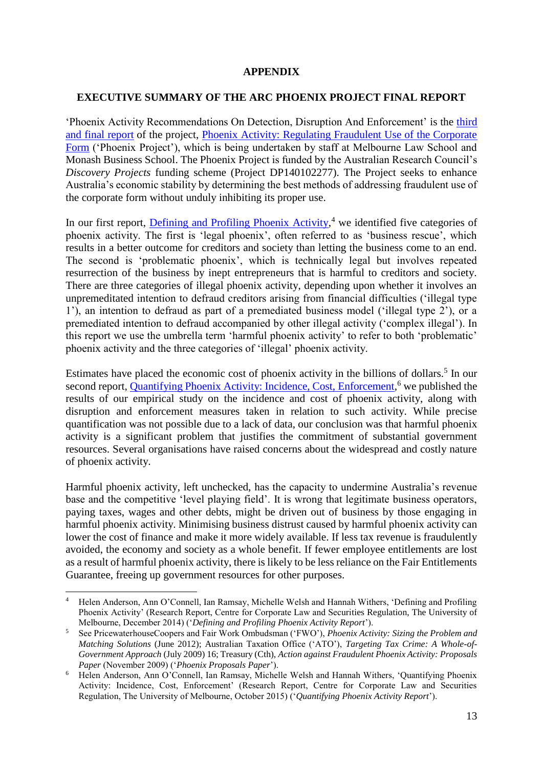#### **APPENDIX**

#### **EXECUTIVE SUMMARY OF THE ARC PHOENIX PROJECT FINAL REPORT**

'Phoenix Activity Recommendations On Detection, Disruption And Enforcement' is the [third](http://law.unimelb.edu.au/__data/assets/pdf_file/0020/2274131/Phoenix-Activity-Recommendations-on-Detection-Disruption-and-Enforcement.pdf)  [and final report](http://law.unimelb.edu.au/__data/assets/pdf_file/0020/2274131/Phoenix-Activity-Recommendations-on-Detection-Disruption-and-Enforcement.pdf) of the project, [Phoenix Activity: Regulating Fraudulent Use of the Corporate](http://law.unimelb.edu.au/centres/cclsr/research/major-research-projects/regulating-fraudulent-phoenix-activity)  [Form](http://law.unimelb.edu.au/centres/cclsr/research/major-research-projects/regulating-fraudulent-phoenix-activity) ('Phoenix Project'), which is being undertaken by staff at Melbourne Law School and Monash Business School. The Phoenix Project is funded by the Australian Research Council's *Discovery Projects* funding scheme (Project DP140102277). The Project seeks to enhance Australia's economic stability by determining the best methods of addressing fraudulent use of the corporate form without unduly inhibiting its proper use.

In our first report, **Defining and Profiling Phoenix Activity**,<sup>4</sup> we identified five categories of phoenix activity. The first is 'legal phoenix', often referred to as 'business rescue', which results in a better outcome for creditors and society than letting the business come to an end. The second is 'problematic phoenix', which is technically legal but involves repeated resurrection of the business by inept entrepreneurs that is harmful to creditors and society. There are three categories of illegal phoenix activity, depending upon whether it involves an unpremeditated intention to defraud creditors arising from financial difficulties ('illegal type 1'), an intention to defraud as part of a premediated business model ('illegal type 2'), or a premediated intention to defraud accompanied by other illegal activity ('complex illegal'). In this report we use the umbrella term 'harmful phoenix activity' to refer to both 'problematic' phoenix activity and the three categories of 'illegal' phoenix activity.

Estimates have placed the economic cost of phoenix activity in the billions of dollars.<sup>5</sup> In our second report, [Quantifying Phoenix Activity: Incidence, Cost, Enforcement,](http://law.unimelb.edu.au/__data/assets/pdf_file/0004/2255350/Anderson,-Quantifying-Phoenix-Activity_Oct-2015.pdf)<sup>6</sup> we published the results of our empirical study on the incidence and cost of phoenix activity, along with disruption and enforcement measures taken in relation to such activity. While precise quantification was not possible due to a lack of data, our conclusion was that harmful phoenix activity is a significant problem that justifies the commitment of substantial government resources. Several organisations have raised concerns about the widespread and costly nature of phoenix activity.

Harmful phoenix activity, left unchecked, has the capacity to undermine Australia's revenue base and the competitive 'level playing field'. It is wrong that legitimate business operators, paying taxes, wages and other debts, might be driven out of business by those engaging in harmful phoenix activity. Minimising business distrust caused by harmful phoenix activity can lower the cost of finance and make it more widely available. If less tax revenue is fraudulently avoided, the economy and society as a whole benefit. If fewer employee entitlements are lost as a result of harmful phoenix activity, there is likely to be less reliance on the Fair Entitlements Guarantee, freeing up government resources for other purposes.

**.** 

<sup>4</sup> Helen Anderson, Ann O'Connell, Ian Ramsay, Michelle Welsh and Hannah Withers, 'Defining and Profiling Phoenix Activity' (Research Report, Centre for Corporate Law and Securities Regulation, The University of Melbourne, December 2014) ('*Defining and Profiling Phoenix Activity Report*').

<sup>5</sup> See PricewaterhouseCoopers and Fair Work Ombudsman ('FWO'), *Phoenix Activity: Sizing the Problem and Matching Solutions* (June 2012); Australian Taxation Office ('ATO'), *Targeting Tax Crime: A Whole-of-Government Approach* (July 2009) 16; Treasury (Cth), *Action against Fraudulent Phoenix Activity: Proposals Paper* (November 2009) ('*Phoenix Proposals Paper*').

<sup>&</sup>lt;sup>6</sup> Helen Anderson, Ann O'Connell, Ian Ramsay, Michelle Welsh and Hannah Withers, 'Quantifying Phoenix Activity: Incidence, Cost, Enforcement' (Research Report, Centre for Corporate Law and Securities Regulation, The University of Melbourne, October 2015) ('*Quantifying Phoenix Activity Report*').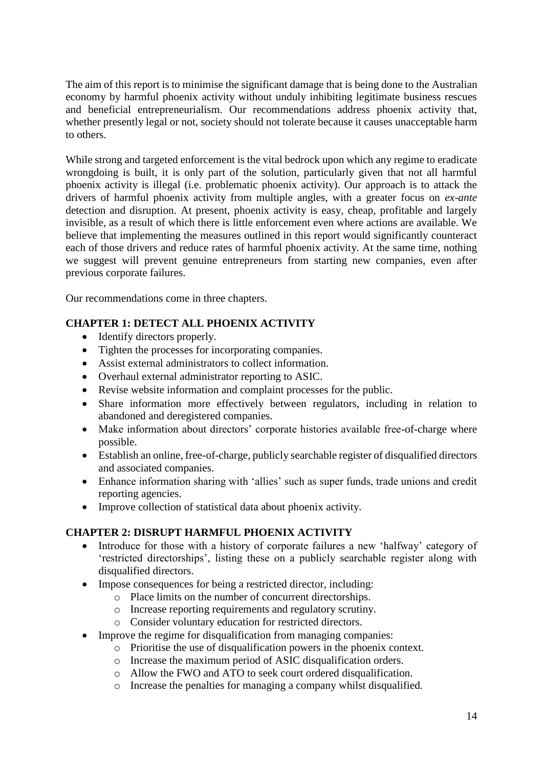The aim of this report is to minimise the significant damage that is being done to the Australian economy by harmful phoenix activity without unduly inhibiting legitimate business rescues and beneficial entrepreneurialism. Our recommendations address phoenix activity that, whether presently legal or not, society should not tolerate because it causes unacceptable harm to others.

While strong and targeted enforcement is the vital bedrock upon which any regime to eradicate wrongdoing is built, it is only part of the solution, particularly given that not all harmful phoenix activity is illegal (i.e. problematic phoenix activity). Our approach is to attack the drivers of harmful phoenix activity from multiple angles, with a greater focus on *ex-ante*  detection and disruption. At present, phoenix activity is easy, cheap, profitable and largely invisible, as a result of which there is little enforcement even where actions are available. We believe that implementing the measures outlined in this report would significantly counteract each of those drivers and reduce rates of harmful phoenix activity. At the same time, nothing we suggest will prevent genuine entrepreneurs from starting new companies, even after previous corporate failures.

Our recommendations come in three chapters.

# **CHAPTER 1: DETECT ALL PHOENIX ACTIVITY**

- Identify directors properly.
- Tighten the processes for incorporating companies.
- Assist external administrators to collect information.
- Overhaul external administrator reporting to ASIC.
- Revise website information and complaint processes for the public.
- Share information more effectively between regulators, including in relation to abandoned and deregistered companies.
- Make information about directors' corporate histories available free-of-charge where possible.
- Establish an online, free-of-charge, publicly searchable register of disqualified directors and associated companies.
- Enhance information sharing with 'allies' such as super funds, trade unions and credit reporting agencies.
- Improve collection of statistical data about phoenix activity.

# **CHAPTER 2: DISRUPT HARMFUL PHOENIX ACTIVITY**

- Introduce for those with a history of corporate failures a new 'halfway' category of 'restricted directorships', listing these on a publicly searchable register along with disqualified directors.
- Impose consequences for being a restricted director, including:
	- o Place limits on the number of concurrent directorships.
	- o Increase reporting requirements and regulatory scrutiny.
	- o Consider voluntary education for restricted directors.
- Improve the regime for disqualification from managing companies:
	- o Prioritise the use of disqualification powers in the phoenix context.
	- o Increase the maximum period of ASIC disqualification orders.
	- o Allow the FWO and ATO to seek court ordered disqualification.
	- o Increase the penalties for managing a company whilst disqualified.